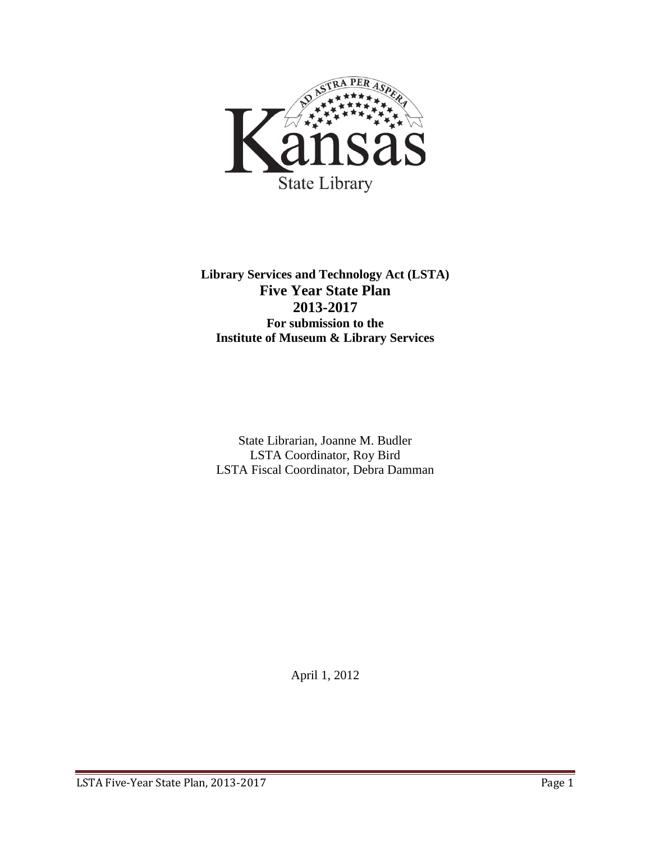

**Library Services and Technology Act (LSTA) Five Year State Plan 2013-2017 For submission to the Institute of Museum & Library Services**

State Librarian, Joanne M. Budler LSTA Coordinator, Roy Bird LSTA Fiscal Coordinator, Debra Damman

April 1, 2012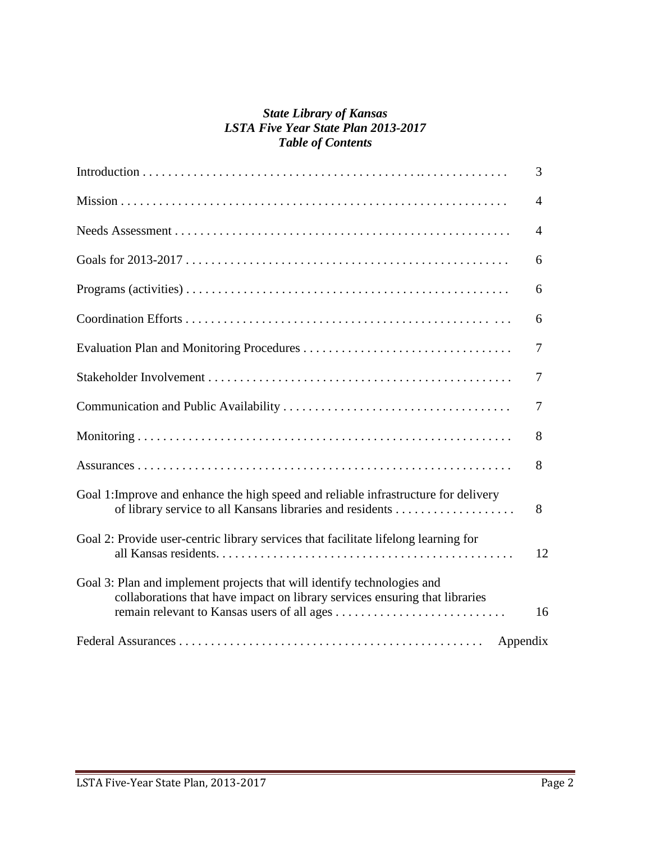#### *State Library of Kansas LSTA Five Year State Plan 2013-2017 Table of Contents*

|                                                                                                                                                        | 3              |
|--------------------------------------------------------------------------------------------------------------------------------------------------------|----------------|
|                                                                                                                                                        | $\overline{4}$ |
|                                                                                                                                                        | $\overline{4}$ |
|                                                                                                                                                        | 6              |
|                                                                                                                                                        | 6              |
|                                                                                                                                                        | 6              |
|                                                                                                                                                        | 7              |
|                                                                                                                                                        | 7              |
|                                                                                                                                                        | 7              |
|                                                                                                                                                        | 8              |
|                                                                                                                                                        | 8              |
| Goal 1: Improve and enhance the high speed and reliable infrastructure for delivery                                                                    | 8              |
| Goal 2: Provide user-centric library services that facilitate lifelong learning for                                                                    | 12             |
| Goal 3: Plan and implement projects that will identify technologies and<br>collaborations that have impact on library services ensuring that libraries | 16             |
| Appendix                                                                                                                                               |                |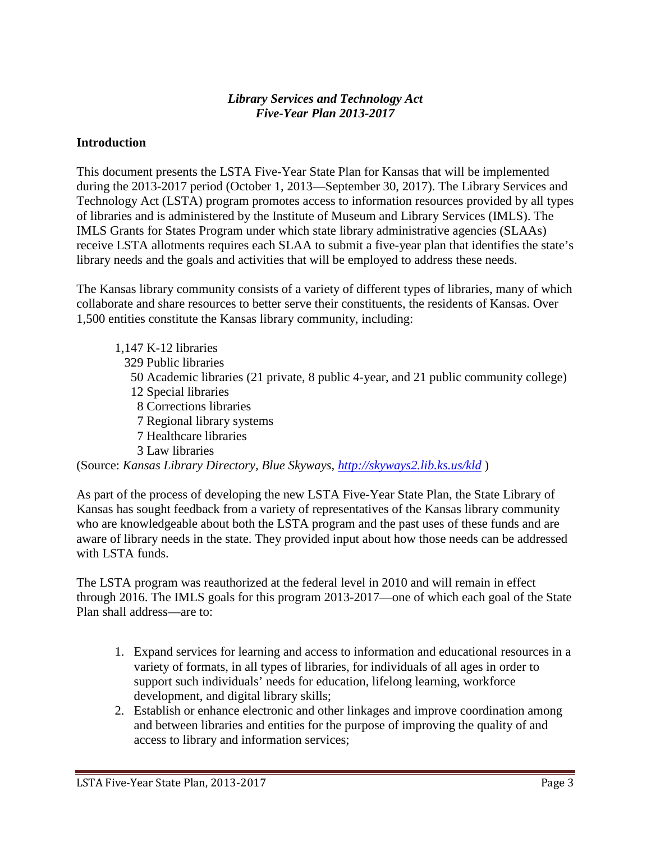#### *Library Services and Technology Act Five-Year Plan 2013-2017*

#### **Introduction**

This document presents the LSTA Five-Year State Plan for Kansas that will be implemented during the 2013-2017 period (October 1, 2013—September 30, 2017). The Library Services and Technology Act (LSTA) program promotes access to information resources provided by all types of libraries and is administered by the Institute of Museum and Library Services (IMLS). The IMLS Grants for States Program under which state library administrative agencies (SLAAs) receive LSTA allotments requires each SLAA to submit a five-year plan that identifies the state's library needs and the goals and activities that will be employed to address these needs.

The Kansas library community consists of a variety of different types of libraries, many of which collaborate and share resources to better serve their constituents, the residents of Kansas. Over 1,500 entities constitute the Kansas library community, including:

1,147 K-12 libraries 329 Public libraries 50 Academic libraries (21 private, 8 public 4-year, and 21 public community college) 12 Special libraries 8 Corrections libraries 7 Regional library systems 7 Healthcare libraries 3 Law libraries (Source: *Kansas Library Directory, Blue Skyways,<http://skyways2.lib.ks.us/kld>* )

As part of the process of developing the new LSTA Five-Year State Plan, the State Library of Kansas has sought feedback from a variety of representatives of the Kansas library community who are knowledgeable about both the LSTA program and the past uses of these funds and are aware of library needs in the state. They provided input about how those needs can be addressed with LSTA funds.

The LSTA program was reauthorized at the federal level in 2010 and will remain in effect through 2016. The IMLS goals for this program 2013-2017—one of which each goal of the State Plan shall address—are to:

- 1. Expand services for learning and access to information and educational resources in a variety of formats, in all types of libraries, for individuals of all ages in order to support such individuals' needs for education, lifelong learning, workforce development, and digital library skills;
- 2. Establish or enhance electronic and other linkages and improve coordination among and between libraries and entities for the purpose of improving the quality of and access to library and information services;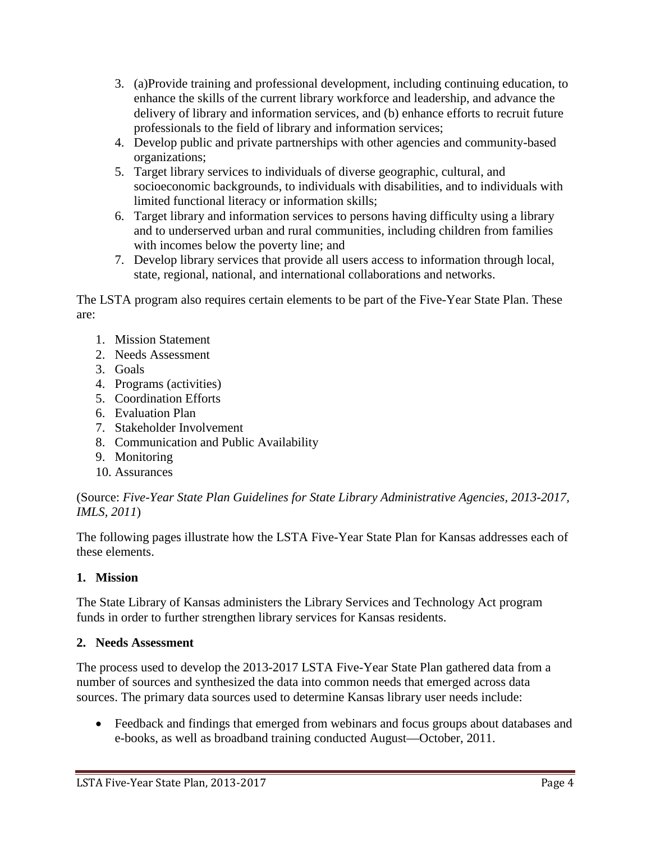- 3. (a)Provide training and professional development, including continuing education, to enhance the skills of the current library workforce and leadership, and advance the delivery of library and information services, and (b) enhance efforts to recruit future professionals to the field of library and information services;
- 4. Develop public and private partnerships with other agencies and community-based organizations;
- 5. Target library services to individuals of diverse geographic, cultural, and socioeconomic backgrounds, to individuals with disabilities, and to individuals with limited functional literacy or information skills;
- 6. Target library and information services to persons having difficulty using a library and to underserved urban and rural communities, including children from families with incomes below the poverty line; and
- 7. Develop library services that provide all users access to information through local, state, regional, national, and international collaborations and networks.

The LSTA program also requires certain elements to be part of the Five-Year State Plan. These are:

- 1. Mission Statement
- 2. Needs Assessment
- 3. Goals
- 4. Programs (activities)
- 5. Coordination Efforts
- 6. Evaluation Plan
- 7. Stakeholder Involvement
- 8. Communication and Public Availability
- 9. Monitoring
- 10. Assurances

(Source: *Five-Year State Plan Guidelines for State Library Administrative Agencies, 2013-2017, IMLS, 2011*)

The following pages illustrate how the LSTA Five-Year State Plan for Kansas addresses each of these elements.

# **1. Mission**

The State Library of Kansas administers the Library Services and Technology Act program funds in order to further strengthen library services for Kansas residents.

# **2. Needs Assessment**

The process used to develop the 2013-2017 LSTA Five-Year State Plan gathered data from a number of sources and synthesized the data into common needs that emerged across data sources. The primary data sources used to determine Kansas library user needs include:

• Feedback and findings that emerged from webinars and focus groups about databases and e-books, as well as broadband training conducted August—October, 2011.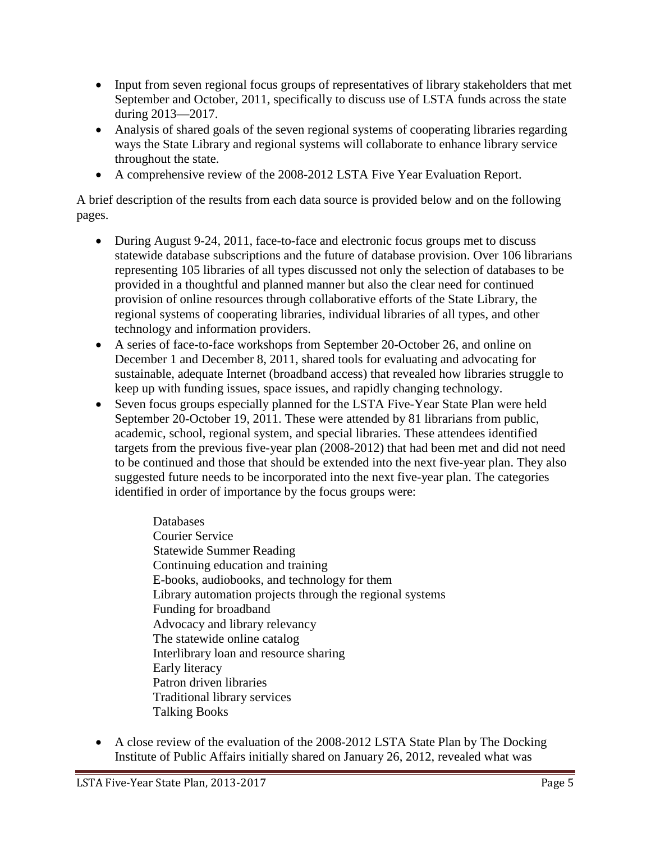- Input from seven regional focus groups of representatives of library stakeholders that met September and October, 2011, specifically to discuss use of LSTA funds across the state during 2013—2017.
- Analysis of shared goals of the seven regional systems of cooperating libraries regarding ways the State Library and regional systems will collaborate to enhance library service throughout the state.
- A comprehensive review of the 2008-2012 LSTA Five Year Evaluation Report.

A brief description of the results from each data source is provided below and on the following pages.

- During August 9-24, 2011, face-to-face and electronic focus groups met to discuss statewide database subscriptions and the future of database provision. Over 106 librarians representing 105 libraries of all types discussed not only the selection of databases to be provided in a thoughtful and planned manner but also the clear need for continued provision of online resources through collaborative efforts of the State Library, the regional systems of cooperating libraries, individual libraries of all types, and other technology and information providers.
- A series of face-to-face workshops from September 20-October 26, and online on December 1 and December 8, 2011, shared tools for evaluating and advocating for sustainable, adequate Internet (broadband access) that revealed how libraries struggle to keep up with funding issues, space issues, and rapidly changing technology.
- Seven focus groups especially planned for the LSTA Five-Year State Plan were held September 20-October 19, 2011. These were attended by 81 librarians from public, academic, school, regional system, and special libraries. These attendees identified targets from the previous five-year plan (2008-2012) that had been met and did not need to be continued and those that should be extended into the next five-year plan. They also suggested future needs to be incorporated into the next five-year plan. The categories identified in order of importance by the focus groups were:

Databases Courier Service Statewide Summer Reading Continuing education and training E-books, audiobooks, and technology for them Library automation projects through the regional systems Funding for broadband Advocacy and library relevancy The statewide online catalog Interlibrary loan and resource sharing Early literacy Patron driven libraries Traditional library services Talking Books

• A close review of the evaluation of the 2008-2012 LSTA State Plan by The Docking Institute of Public Affairs initially shared on January 26, 2012, revealed what was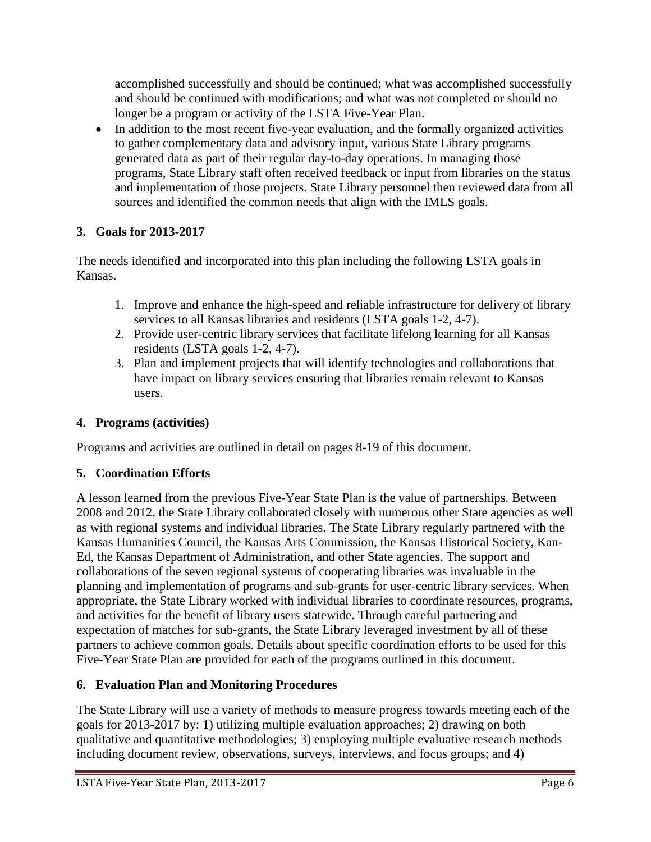accomplished successfully and should be continued; what was accomplished successfully and should be continued with modifications; and what was not completed or should no longer be a program or activity of the LSTA Five-Year Plan.

• In addition to the most recent five-year evaluation, and the formally organized activities to gather complementary data and advisory input, various State Library programs generated data as part of their regular day-to-day operations. In managing those programs, State Library staff often received feedback or input from libraries on the status and implementation of those projects. State Library personnel then reviewed data from all sources and identified the common needs that align with the IMLS goals.

# **3. Goals for 2013-2017**

The needs identified and incorporated into this plan including the following LSTA goals in Kansas.

- 1. Improve and enhance the high-speed and reliable infrastructure for delivery of library services to all Kansas libraries and residents (LSTA goals 1-2, 4-7).
- 2. Provide user-centric library services that facilitate lifelong learning for all Kansas residents (LSTA goals 1-2, 4-7).
- 3. Plan and implement projects that will identify technologies and collaborations that have impact on library services ensuring that libraries remain relevant to Kansas users.

## **4. Programs (activities)**

Programs and activities are outlined in detail on pages 8-19 of this document.

# **5. Coordination Efforts**

A lesson learned from the previous Five-Year State Plan is the value of partnerships. Between 2008 and 2012, the State Library collaborated closely with numerous other State agencies as well as with regional systems and individual libraries. The State Library regularly partnered with the Kansas Humanities Council, the Kansas Arts Commission, the Kansas Historical Society, Kan-Ed, the Kansas Department of Administration, and other State agencies. The support and collaborations of the seven regional systems of cooperating libraries was invaluable in the planning and implementation of programs and sub-grants for user-centric library services. When appropriate, the State Library worked with individual libraries to coordinate resources, programs, and activities for the benefit of library users statewide. Through careful partnering and expectation of matches for sub-grants, the State Library leveraged investment by all of these partners to achieve common goals. Details about specific coordination efforts to be used for this Five-Year State Plan are provided for each of the programs outlined in this document.

# **6. Evaluation Plan and Monitoring Procedures**

The State Library will use a variety of methods to measure progress towards meeting each of the goals for 2013-2017 by: 1) utilizing multiple evaluation approaches; 2) drawing on both qualitative and quantitative methodologies; 3) employing multiple evaluative research methods including document review, observations, surveys, interviews, and focus groups; and 4)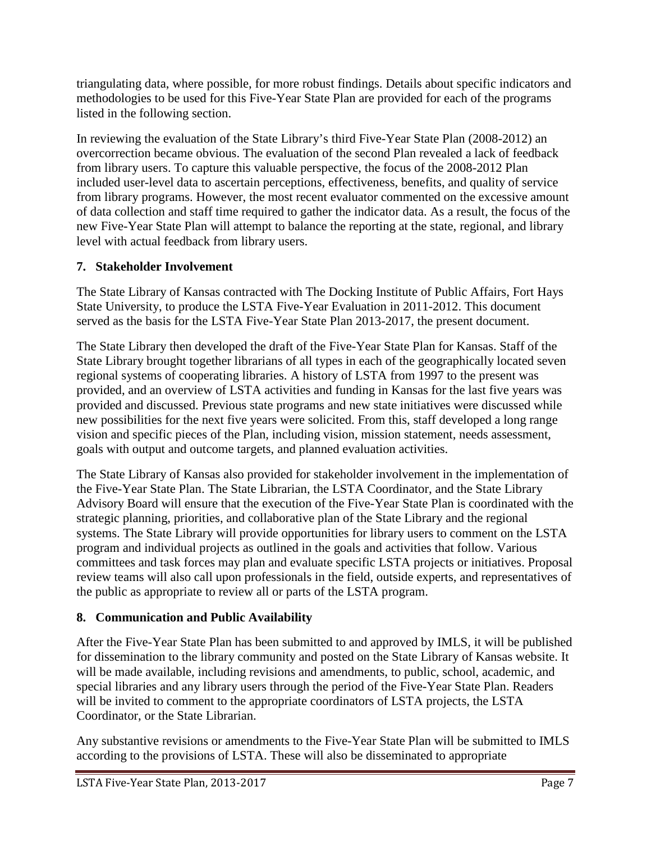triangulating data, where possible, for more robust findings. Details about specific indicators and methodologies to be used for this Five-Year State Plan are provided for each of the programs listed in the following section.

In reviewing the evaluation of the State Library's third Five-Year State Plan (2008-2012) an overcorrection became obvious. The evaluation of the second Plan revealed a lack of feedback from library users. To capture this valuable perspective, the focus of the 2008-2012 Plan included user-level data to ascertain perceptions, effectiveness, benefits, and quality of service from library programs. However, the most recent evaluator commented on the excessive amount of data collection and staff time required to gather the indicator data. As a result, the focus of the new Five-Year State Plan will attempt to balance the reporting at the state, regional, and library level with actual feedback from library users.

# **7. Stakeholder Involvement**

The State Library of Kansas contracted with The Docking Institute of Public Affairs, Fort Hays State University, to produce the LSTA Five-Year Evaluation in 2011-2012. This document served as the basis for the LSTA Five-Year State Plan 2013-2017, the present document.

The State Library then developed the draft of the Five-Year State Plan for Kansas. Staff of the State Library brought together librarians of all types in each of the geographically located seven regional systems of cooperating libraries. A history of LSTA from 1997 to the present was provided, and an overview of LSTA activities and funding in Kansas for the last five years was provided and discussed. Previous state programs and new state initiatives were discussed while new possibilities for the next five years were solicited. From this, staff developed a long range vision and specific pieces of the Plan, including vision, mission statement, needs assessment, goals with output and outcome targets, and planned evaluation activities.

The State Library of Kansas also provided for stakeholder involvement in the implementation of the Five-Year State Plan. The State Librarian, the LSTA Coordinator, and the State Library Advisory Board will ensure that the execution of the Five-Year State Plan is coordinated with the strategic planning, priorities, and collaborative plan of the State Library and the regional systems. The State Library will provide opportunities for library users to comment on the LSTA program and individual projects as outlined in the goals and activities that follow. Various committees and task forces may plan and evaluate specific LSTA projects or initiatives. Proposal review teams will also call upon professionals in the field, outside experts, and representatives of the public as appropriate to review all or parts of the LSTA program.

# **8. Communication and Public Availability**

After the Five-Year State Plan has been submitted to and approved by IMLS, it will be published for dissemination to the library community and posted on the State Library of Kansas website. It will be made available, including revisions and amendments, to public, school, academic, and special libraries and any library users through the period of the Five-Year State Plan. Readers will be invited to comment to the appropriate coordinators of LSTA projects, the LSTA Coordinator, or the State Librarian.

Any substantive revisions or amendments to the Five-Year State Plan will be submitted to IMLS according to the provisions of LSTA. These will also be disseminated to appropriate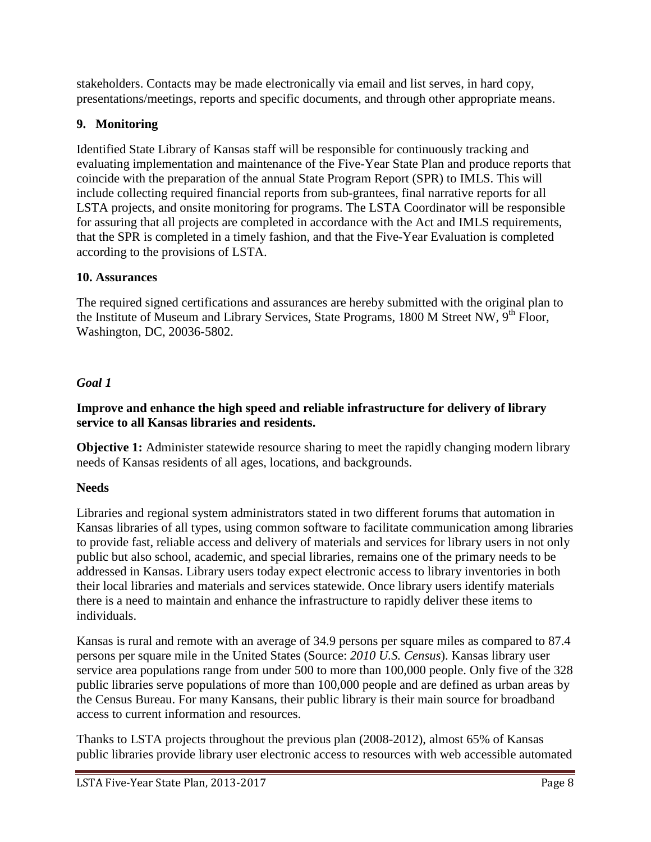stakeholders. Contacts may be made electronically via email and list serves, in hard copy, presentations/meetings, reports and specific documents, and through other appropriate means.

## **9. Monitoring**

Identified State Library of Kansas staff will be responsible for continuously tracking and evaluating implementation and maintenance of the Five-Year State Plan and produce reports that coincide with the preparation of the annual State Program Report (SPR) to IMLS. This will include collecting required financial reports from sub-grantees, final narrative reports for all LSTA projects, and onsite monitoring for programs. The LSTA Coordinator will be responsible for assuring that all projects are completed in accordance with the Act and IMLS requirements, that the SPR is completed in a timely fashion, and that the Five-Year Evaluation is completed according to the provisions of LSTA.

## **10. Assurances**

The required signed certifications and assurances are hereby submitted with the original plan to the Institute of Museum and Library Services, State Programs, 1800 M Street NW, 9<sup>th</sup> Floor, Washington, DC, 20036-5802.

# *Goal 1*

#### **Improve and enhance the high speed and reliable infrastructure for delivery of library service to all Kansas libraries and residents.**

**Objective 1:** Administer statewide resource sharing to meet the rapidly changing modern library needs of Kansas residents of all ages, locations, and backgrounds.

# **Needs**

Libraries and regional system administrators stated in two different forums that automation in Kansas libraries of all types, using common software to facilitate communication among libraries to provide fast, reliable access and delivery of materials and services for library users in not only public but also school, academic, and special libraries, remains one of the primary needs to be addressed in Kansas. Library users today expect electronic access to library inventories in both their local libraries and materials and services statewide. Once library users identify materials there is a need to maintain and enhance the infrastructure to rapidly deliver these items to individuals.

Kansas is rural and remote with an average of 34.9 persons per square miles as compared to 87.4 persons per square mile in the United States (Source: *2010 U.S. Census*). Kansas library user service area populations range from under 500 to more than 100,000 people. Only five of the 328 public libraries serve populations of more than 100,000 people and are defined as urban areas by the Census Bureau. For many Kansans, their public library is their main source for broadband access to current information and resources.

Thanks to LSTA projects throughout the previous plan (2008-2012), almost 65% of Kansas public libraries provide library user electronic access to resources with web accessible automated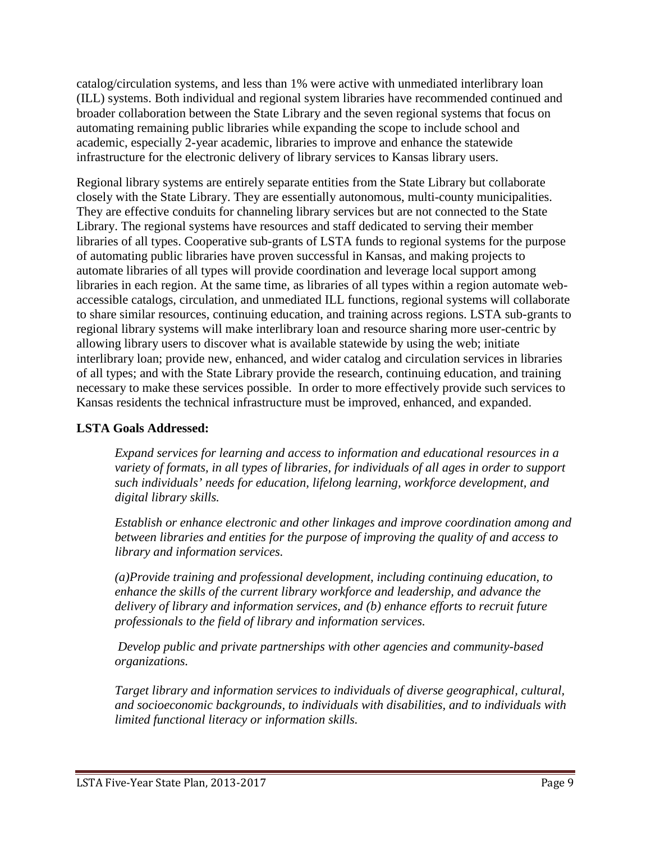catalog/circulation systems, and less than 1% were active with unmediated interlibrary loan (ILL) systems. Both individual and regional system libraries have recommended continued and broader collaboration between the State Library and the seven regional systems that focus on automating remaining public libraries while expanding the scope to include school and academic, especially 2-year academic, libraries to improve and enhance the statewide infrastructure for the electronic delivery of library services to Kansas library users.

Regional library systems are entirely separate entities from the State Library but collaborate closely with the State Library. They are essentially autonomous, multi-county municipalities. They are effective conduits for channeling library services but are not connected to the State Library. The regional systems have resources and staff dedicated to serving their member libraries of all types. Cooperative sub-grants of LSTA funds to regional systems for the purpose of automating public libraries have proven successful in Kansas, and making projects to automate libraries of all types will provide coordination and leverage local support among libraries in each region. At the same time, as libraries of all types within a region automate webaccessible catalogs, circulation, and unmediated ILL functions, regional systems will collaborate to share similar resources, continuing education, and training across regions. LSTA sub-grants to regional library systems will make interlibrary loan and resource sharing more user-centric by allowing library users to discover what is available statewide by using the web; initiate interlibrary loan; provide new, enhanced, and wider catalog and circulation services in libraries of all types; and with the State Library provide the research, continuing education, and training necessary to make these services possible. In order to more effectively provide such services to Kansas residents the technical infrastructure must be improved, enhanced, and expanded.

#### **LSTA Goals Addressed:**

*Expand services for learning and access to information and educational resources in a variety of formats, in all types of libraries, for individuals of all ages in order to support such individuals' needs for education, lifelong learning, workforce development, and digital library skills.*

*Establish or enhance electronic and other linkages and improve coordination among and between libraries and entities for the purpose of improving the quality of and access to library and information services.*

*(a)Provide training and professional development, including continuing education, to enhance the skills of the current library workforce and leadership, and advance the delivery of library and information services, and (b) enhance efforts to recruit future professionals to the field of library and information services.*

*Develop public and private partnerships with other agencies and community-based organizations.*

*Target library and information services to individuals of diverse geographical, cultural, and socioeconomic backgrounds, to individuals with disabilities, and to individuals with limited functional literacy or information skills.*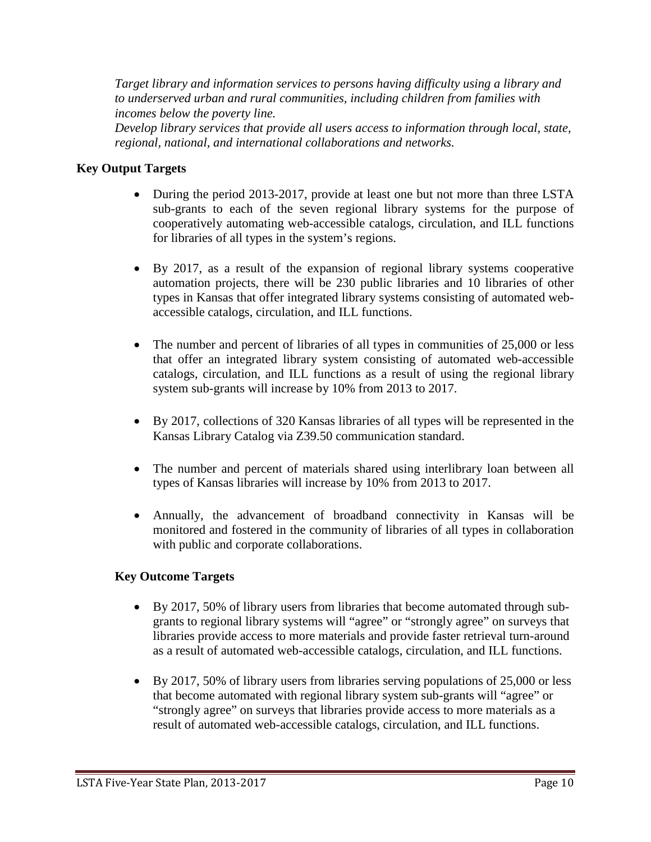*Target library and information services to persons having difficulty using a library and to underserved urban and rural communities, including children from families with incomes below the poverty line.*

*Develop library services that provide all users access to information through local, state, regional, national, and international collaborations and networks.*

### **Key Output Targets**

- During the period 2013-2017, provide at least one but not more than three LSTA sub-grants to each of the seven regional library systems for the purpose of cooperatively automating web-accessible catalogs, circulation, and ILL functions for libraries of all types in the system's regions.
- By 2017, as a result of the expansion of regional library systems cooperative automation projects, there will be 230 public libraries and 10 libraries of other types in Kansas that offer integrated library systems consisting of automated webaccessible catalogs, circulation, and ILL functions.
- The number and percent of libraries of all types in communities of 25,000 or less that offer an integrated library system consisting of automated web-accessible catalogs, circulation, and ILL functions as a result of using the regional library system sub-grants will increase by 10% from 2013 to 2017.
- By 2017, collections of 320 Kansas libraries of all types will be represented in the Kansas Library Catalog via Z39.50 communication standard.
- The number and percent of materials shared using interlibrary loan between all types of Kansas libraries will increase by 10% from 2013 to 2017.
- Annually, the advancement of broadband connectivity in Kansas will be monitored and fostered in the community of libraries of all types in collaboration with public and corporate collaborations.

## **Key Outcome Targets**

- By 2017, 50% of library users from libraries that become automated through subgrants to regional library systems will "agree" or "strongly agree" on surveys that libraries provide access to more materials and provide faster retrieval turn-around as a result of automated web-accessible catalogs, circulation, and ILL functions.
- By 2017, 50% of library users from libraries serving populations of 25,000 or less that become automated with regional library system sub-grants will "agree" or "strongly agree" on surveys that libraries provide access to more materials as a result of automated web-accessible catalogs, circulation, and ILL functions.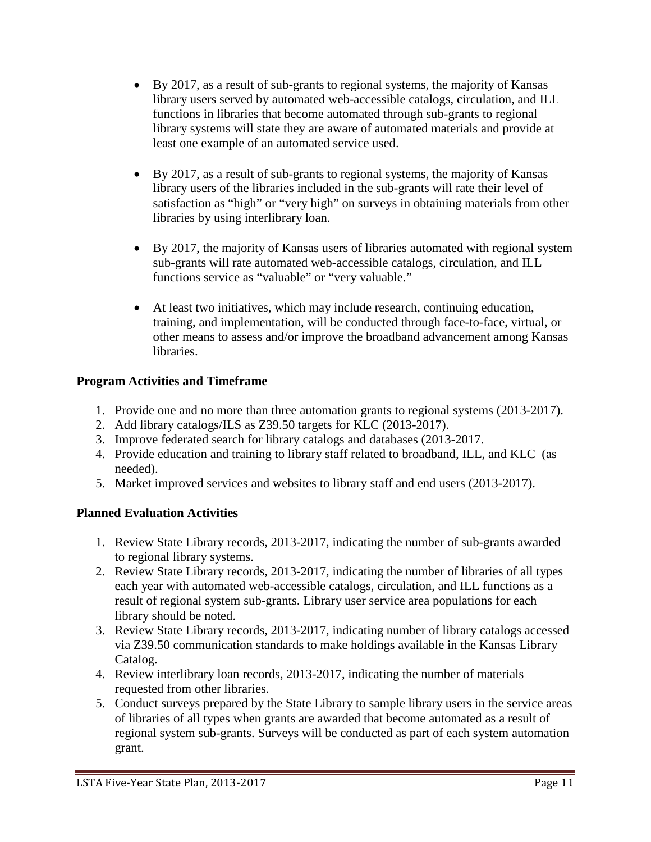- By 2017, as a result of sub-grants to regional systems, the majority of Kansas library users served by automated web-accessible catalogs, circulation, and ILL functions in libraries that become automated through sub-grants to regional library systems will state they are aware of automated materials and provide at least one example of an automated service used.
- By 2017, as a result of sub-grants to regional systems, the majority of Kansas library users of the libraries included in the sub-grants will rate their level of satisfaction as "high" or "very high" on surveys in obtaining materials from other libraries by using interlibrary loan.
- By 2017, the majority of Kansas users of libraries automated with regional system sub-grants will rate automated web-accessible catalogs, circulation, and ILL functions service as "valuable" or "very valuable."
- At least two initiatives, which may include research, continuing education, training, and implementation, will be conducted through face-to-face, virtual, or other means to assess and/or improve the broadband advancement among Kansas libraries.

## **Program Activities and Timeframe**

- 1. Provide one and no more than three automation grants to regional systems (2013-2017).
- 2. Add library catalogs/ILS as Z39.50 targets for KLC (2013-2017).
- 3. Improve federated search for library catalogs and databases (2013-2017.
- 4. Provide education and training to library staff related to broadband, ILL, and KLC (as needed).
- 5. Market improved services and websites to library staff and end users (2013-2017).

# **Planned Evaluation Activities**

- 1. Review State Library records, 2013-2017, indicating the number of sub-grants awarded to regional library systems.
- 2. Review State Library records, 2013-2017, indicating the number of libraries of all types each year with automated web-accessible catalogs, circulation, and ILL functions as a result of regional system sub-grants. Library user service area populations for each library should be noted.
- 3. Review State Library records, 2013-2017, indicating number of library catalogs accessed via Z39.50 communication standards to make holdings available in the Kansas Library Catalog.
- 4. Review interlibrary loan records, 2013-2017, indicating the number of materials requested from other libraries.
- 5. Conduct surveys prepared by the State Library to sample library users in the service areas of libraries of all types when grants are awarded that become automated as a result of regional system sub-grants. Surveys will be conducted as part of each system automation grant.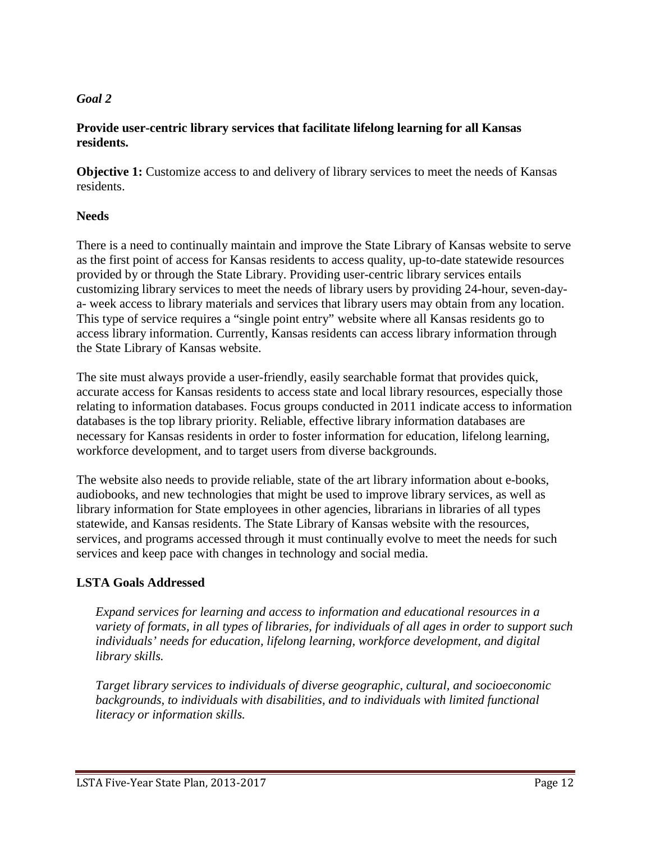#### *Goal 2*

#### **Provide user-centric library services that facilitate lifelong learning for all Kansas residents.**

**Objective 1:** Customize access to and delivery of library services to meet the needs of Kansas residents.

#### **Needs**

There is a need to continually maintain and improve the State Library of Kansas website to serve as the first point of access for Kansas residents to access quality, up-to-date statewide resources provided by or through the State Library. Providing user-centric library services entails customizing library services to meet the needs of library users by providing 24-hour, seven-daya- week access to library materials and services that library users may obtain from any location. This type of service requires a "single point entry" website where all Kansas residents go to access library information. Currently, Kansas residents can access library information through the State Library of Kansas website.

The site must always provide a user-friendly, easily searchable format that provides quick, accurate access for Kansas residents to access state and local library resources, especially those relating to information databases. Focus groups conducted in 2011 indicate access to information databases is the top library priority. Reliable, effective library information databases are necessary for Kansas residents in order to foster information for education, lifelong learning, workforce development, and to target users from diverse backgrounds.

The website also needs to provide reliable, state of the art library information about e-books, audiobooks, and new technologies that might be used to improve library services, as well as library information for State employees in other agencies, librarians in libraries of all types statewide, and Kansas residents. The State Library of Kansas website with the resources, services, and programs accessed through it must continually evolve to meet the needs for such services and keep pace with changes in technology and social media.

## **LSTA Goals Addressed**

*Expand services for learning and access to information and educational resources in a variety of formats, in all types of libraries, for individuals of all ages in order to support such individuals' needs for education, lifelong learning, workforce development, and digital library skills.*

*Target library services to individuals of diverse geographic, cultural, and socioeconomic*  backgrounds, to individuals with disabilities, and to individuals with limited functional *literacy or information skills.*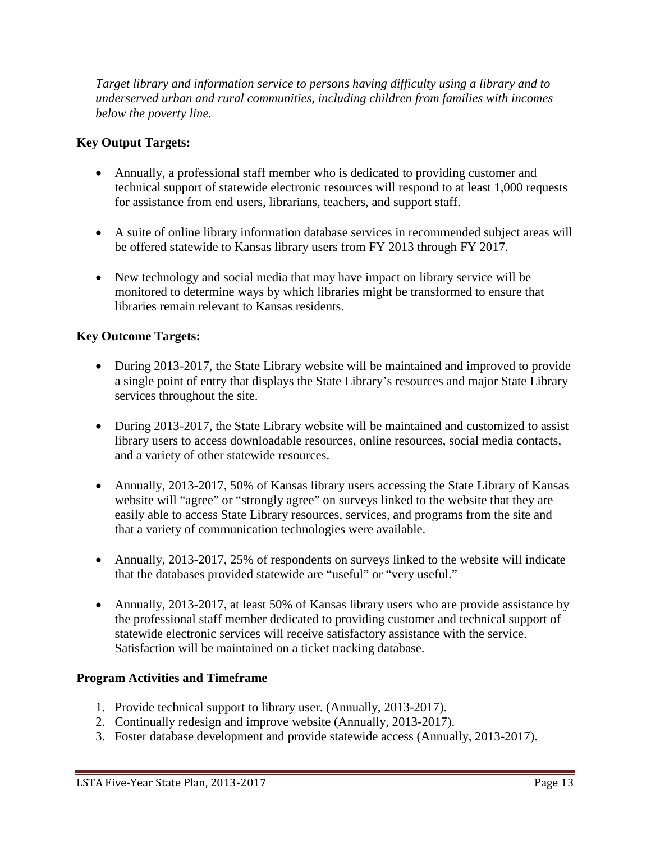*Target library and information service to persons having difficulty using a library and to underserved urban and rural communities, including children from families with incomes below the poverty line.*

### **Key Output Targets:**

- Annually, a professional staff member who is dedicated to providing customer and technical support of statewide electronic resources will respond to at least 1,000 requests for assistance from end users, librarians, teachers, and support staff.
- A suite of online library information database services in recommended subject areas will be offered statewide to Kansas library users from FY 2013 through FY 2017.
- New technology and social media that may have impact on library service will be monitored to determine ways by which libraries might be transformed to ensure that libraries remain relevant to Kansas residents.

#### **Key Outcome Targets:**

- During 2013-2017, the State Library website will be maintained and improved to provide a single point of entry that displays the State Library's resources and major State Library services throughout the site.
- During 2013-2017, the State Library website will be maintained and customized to assist library users to access downloadable resources, online resources, social media contacts, and a variety of other statewide resources.
- Annually, 2013-2017, 50% of Kansas library users accessing the State Library of Kansas website will "agree" or "strongly agree" on surveys linked to the website that they are easily able to access State Library resources, services, and programs from the site and that a variety of communication technologies were available.
- Annually, 2013-2017, 25% of respondents on surveys linked to the website will indicate that the databases provided statewide are "useful" or "very useful."
- Annually, 2013-2017, at least 50% of Kansas library users who are provide assistance by the professional staff member dedicated to providing customer and technical support of statewide electronic services will receive satisfactory assistance with the service. Satisfaction will be maintained on a ticket tracking database.

#### **Program Activities and Timeframe**

- 1. Provide technical support to library user. (Annually, 2013-2017).
- 2. Continually redesign and improve website (Annually, 2013-2017).
- 3. Foster database development and provide statewide access (Annually, 2013-2017).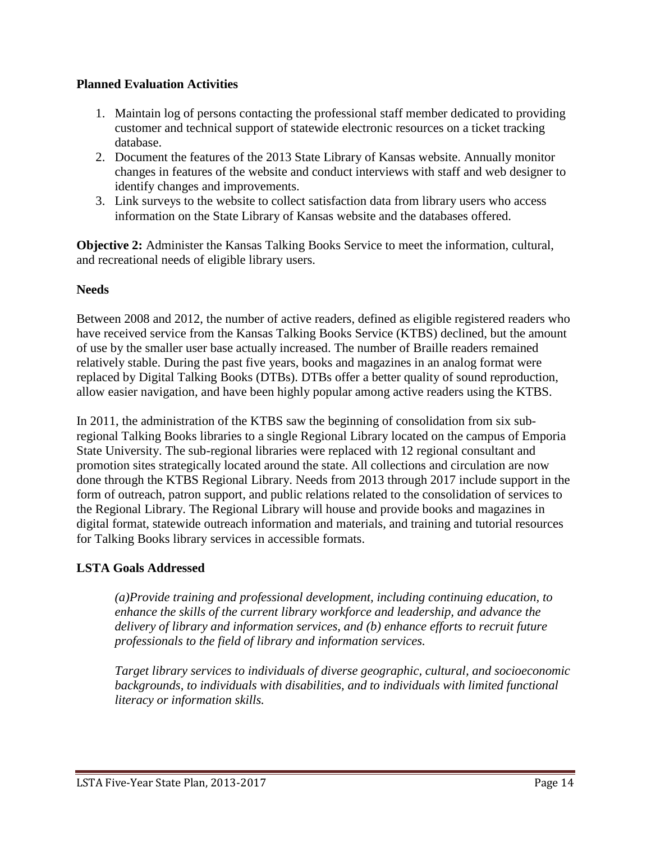#### **Planned Evaluation Activities**

- 1. Maintain log of persons contacting the professional staff member dedicated to providing customer and technical support of statewide electronic resources on a ticket tracking database.
- 2. Document the features of the 2013 State Library of Kansas website. Annually monitor changes in features of the website and conduct interviews with staff and web designer to identify changes and improvements.
- 3. Link surveys to the website to collect satisfaction data from library users who access information on the State Library of Kansas website and the databases offered.

**Objective 2:** Administer the Kansas Talking Books Service to meet the information, cultural, and recreational needs of eligible library users.

#### **Needs**

Between 2008 and 2012, the number of active readers, defined as eligible registered readers who have received service from the Kansas Talking Books Service (KTBS) declined, but the amount of use by the smaller user base actually increased. The number of Braille readers remained relatively stable. During the past five years, books and magazines in an analog format were replaced by Digital Talking Books (DTBs). DTBs offer a better quality of sound reproduction, allow easier navigation, and have been highly popular among active readers using the KTBS.

In 2011, the administration of the KTBS saw the beginning of consolidation from six subregional Talking Books libraries to a single Regional Library located on the campus of Emporia State University. The sub-regional libraries were replaced with 12 regional consultant and promotion sites strategically located around the state. All collections and circulation are now done through the KTBS Regional Library. Needs from 2013 through 2017 include support in the form of outreach, patron support, and public relations related to the consolidation of services to the Regional Library. The Regional Library will house and provide books and magazines in digital format, statewide outreach information and materials, and training and tutorial resources for Talking Books library services in accessible formats.

#### **LSTA Goals Addressed**

*(a)Provide training and professional development, including continuing education, to enhance the skills of the current library workforce and leadership, and advance the delivery of library and information services, and (b) enhance efforts to recruit future professionals to the field of library and information services.*

*Target library services to individuals of diverse geographic, cultural, and socioeconomic backgrounds, to individuals with disabilities, and to individuals with limited functional literacy or information skills.*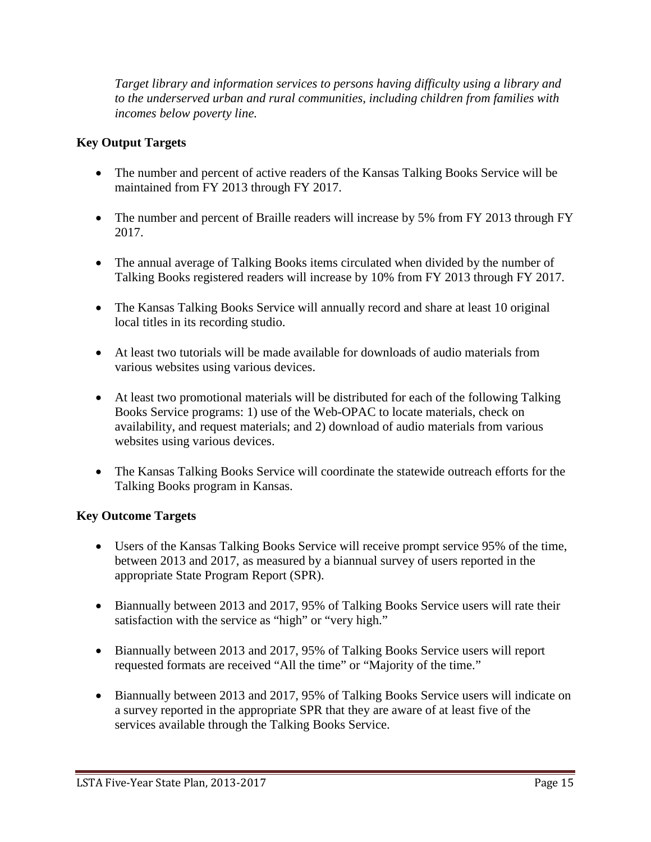*Target library and information services to persons having difficulty using a library and to the underserved urban and rural communities, including children from families with incomes below poverty line.*

## **Key Output Targets**

- The number and percent of active readers of the Kansas Talking Books Service will be maintained from FY 2013 through FY 2017.
- The number and percent of Braille readers will increase by 5% from FY 2013 through FY 2017.
- The annual average of Talking Books items circulated when divided by the number of Talking Books registered readers will increase by 10% from FY 2013 through FY 2017.
- The Kansas Talking Books Service will annually record and share at least 10 original local titles in its recording studio.
- At least two tutorials will be made available for downloads of audio materials from various websites using various devices.
- At least two promotional materials will be distributed for each of the following Talking Books Service programs: 1) use of the Web-OPAC to locate materials, check on availability, and request materials; and 2) download of audio materials from various websites using various devices.
- The Kansas Talking Books Service will coordinate the statewide outreach efforts for the Talking Books program in Kansas.

## **Key Outcome Targets**

- Users of the Kansas Talking Books Service will receive prompt service 95% of the time, between 2013 and 2017, as measured by a biannual survey of users reported in the appropriate State Program Report (SPR).
- Biannually between 2013 and 2017, 95% of Talking Books Service users will rate their satisfaction with the service as "high" or "very high."
- Biannually between 2013 and 2017, 95% of Talking Books Service users will report requested formats are received "All the time" or "Majority of the time."
- Biannually between 2013 and 2017, 95% of Talking Books Service users will indicate on a survey reported in the appropriate SPR that they are aware of at least five of the services available through the Talking Books Service.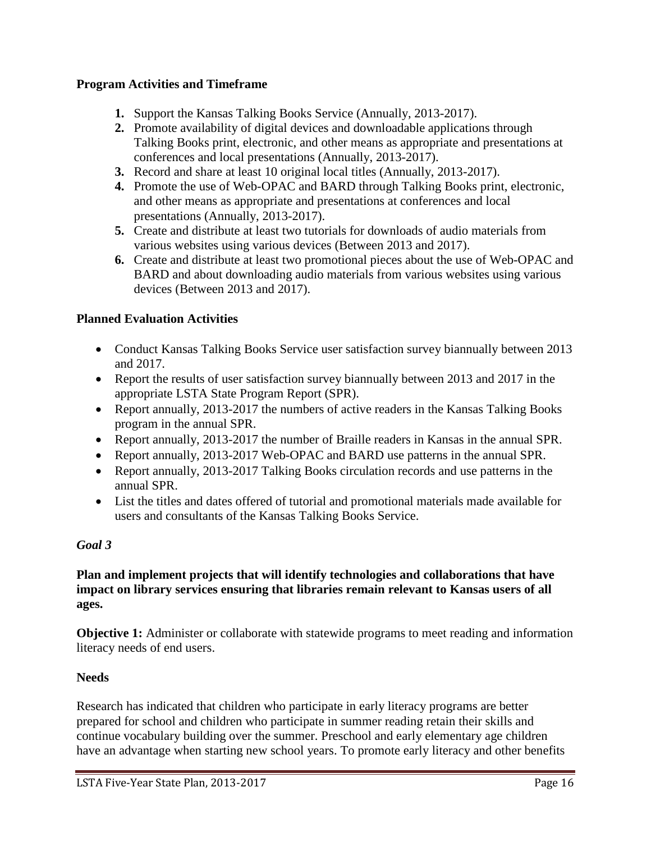#### **Program Activities and Timeframe**

- **1.** Support the Kansas Talking Books Service (Annually, 2013-2017).
- **2.** Promote availability of digital devices and downloadable applications through Talking Books print, electronic, and other means as appropriate and presentations at conferences and local presentations (Annually, 2013-2017).
- **3.** Record and share at least 10 original local titles (Annually, 2013-2017).
- **4.** Promote the use of Web-OPAC and BARD through Talking Books print, electronic, and other means as appropriate and presentations at conferences and local presentations (Annually, 2013-2017).
- **5.** Create and distribute at least two tutorials for downloads of audio materials from various websites using various devices (Between 2013 and 2017).
- **6.** Create and distribute at least two promotional pieces about the use of Web-OPAC and BARD and about downloading audio materials from various websites using various devices (Between 2013 and 2017).

## **Planned Evaluation Activities**

- Conduct Kansas Talking Books Service user satisfaction survey biannually between 2013 and 2017.
- Report the results of user satisfaction survey biannually between 2013 and 2017 in the appropriate LSTA State Program Report (SPR).
- Report annually, 2013-2017 the numbers of active readers in the Kansas Talking Books program in the annual SPR.
- Report annually, 2013-2017 the number of Braille readers in Kansas in the annual SPR.
- Report annually, 2013-2017 Web-OPAC and BARD use patterns in the annual SPR.
- Report annually, 2013-2017 Talking Books circulation records and use patterns in the annual SPR.
- List the titles and dates offered of tutorial and promotional materials made available for users and consultants of the Kansas Talking Books Service.

#### *Goal 3*

#### **Plan and implement projects that will identify technologies and collaborations that have impact on library services ensuring that libraries remain relevant to Kansas users of all ages.**

**Objective 1:** Administer or collaborate with statewide programs to meet reading and information literacy needs of end users.

#### **Needs**

Research has indicated that children who participate in early literacy programs are better prepared for school and children who participate in summer reading retain their skills and continue vocabulary building over the summer. Preschool and early elementary age children have an advantage when starting new school years. To promote early literacy and other benefits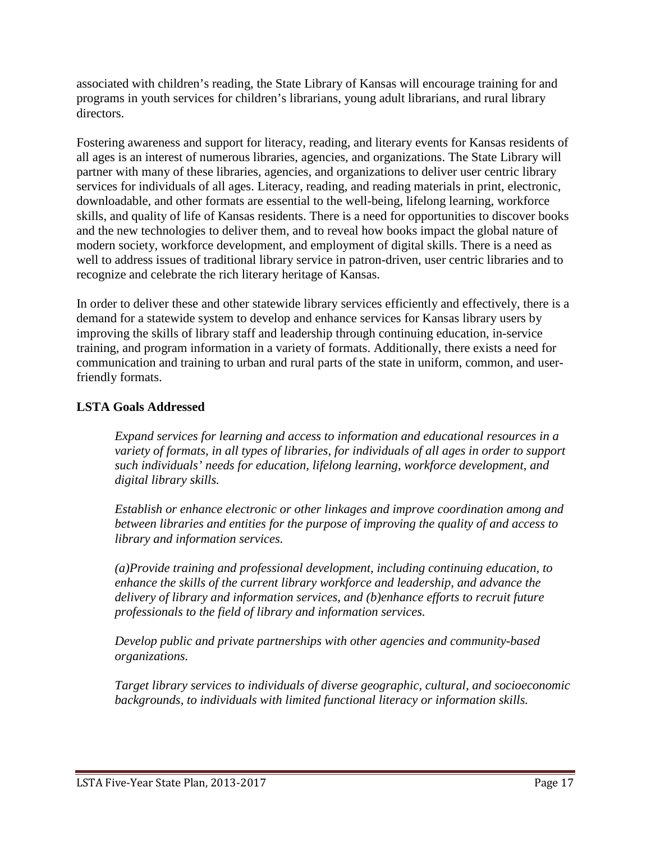associated with children's reading, the State Library of Kansas will encourage training for and programs in youth services for children's librarians, young adult librarians, and rural library directors.

Fostering awareness and support for literacy, reading, and literary events for Kansas residents of all ages is an interest of numerous libraries, agencies, and organizations. The State Library will partner with many of these libraries, agencies, and organizations to deliver user centric library services for individuals of all ages. Literacy, reading, and reading materials in print, electronic, downloadable, and other formats are essential to the well-being, lifelong learning, workforce skills, and quality of life of Kansas residents. There is a need for opportunities to discover books and the new technologies to deliver them, and to reveal how books impact the global nature of modern society, workforce development, and employment of digital skills. There is a need as well to address issues of traditional library service in patron-driven, user centric libraries and to recognize and celebrate the rich literary heritage of Kansas.

In order to deliver these and other statewide library services efficiently and effectively, there is a demand for a statewide system to develop and enhance services for Kansas library users by improving the skills of library staff and leadership through continuing education, in-service training, and program information in a variety of formats. Additionally, there exists a need for communication and training to urban and rural parts of the state in uniform, common, and userfriendly formats.

## **LSTA Goals Addressed**

*Expand services for learning and access to information and educational resources in a variety of formats, in all types of libraries, for individuals of all ages in order to support such individuals' needs for education, lifelong learning, workforce development, and digital library skills.*

*Establish or enhance electronic or other linkages and improve coordination among and between libraries and entities for the purpose of improving the quality of and access to library and information services.*

*(a)Provide training and professional development, including continuing education, to enhance the skills of the current library workforce and leadership, and advance the delivery of library and information services, and (b)enhance efforts to recruit future professionals to the field of library and information services.*

*Develop public and private partnerships with other agencies and community-based organizations.*

*Target library services to individuals of diverse geographic, cultural, and socioeconomic backgrounds, to individuals with limited functional literacy or information skills.*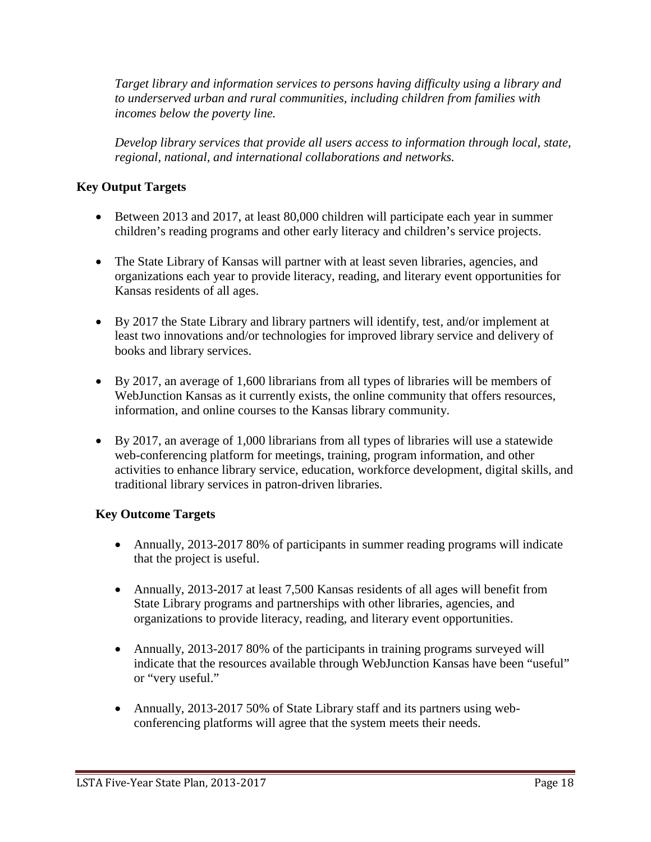*Target library and information services to persons having difficulty using a library and to underserved urban and rural communities, including children from families with incomes below the poverty line.*

*Develop library services that provide all users access to information through local, state, regional, national, and international collaborations and networks.*

## **Key Output Targets**

- Between 2013 and 2017, at least 80,000 children will participate each year in summer children's reading programs and other early literacy and children's service projects.
- The State Library of Kansas will partner with at least seven libraries, agencies, and organizations each year to provide literacy, reading, and literary event opportunities for Kansas residents of all ages.
- By 2017 the State Library and library partners will identify, test, and/or implement at least two innovations and/or technologies for improved library service and delivery of books and library services.
- By 2017, an average of 1,600 librarians from all types of libraries will be members of WebJunction Kansas as it currently exists, the online community that offers resources, information, and online courses to the Kansas library community.
- By 2017, an average of 1,000 librarians from all types of libraries will use a statewide web-conferencing platform for meetings, training, program information, and other activities to enhance library service, education, workforce development, digital skills, and traditional library services in patron-driven libraries.

## **Key Outcome Targets**

- Annually, 2013-2017 80% of participants in summer reading programs will indicate that the project is useful.
- Annually, 2013-2017 at least 7,500 Kansas residents of all ages will benefit from State Library programs and partnerships with other libraries, agencies, and organizations to provide literacy, reading, and literary event opportunities.
- Annually, 2013-2017 80% of the participants in training programs surveyed will indicate that the resources available through WebJunction Kansas have been "useful" or "very useful."
- Annually, 2013-2017 50% of State Library staff and its partners using webconferencing platforms will agree that the system meets their needs.